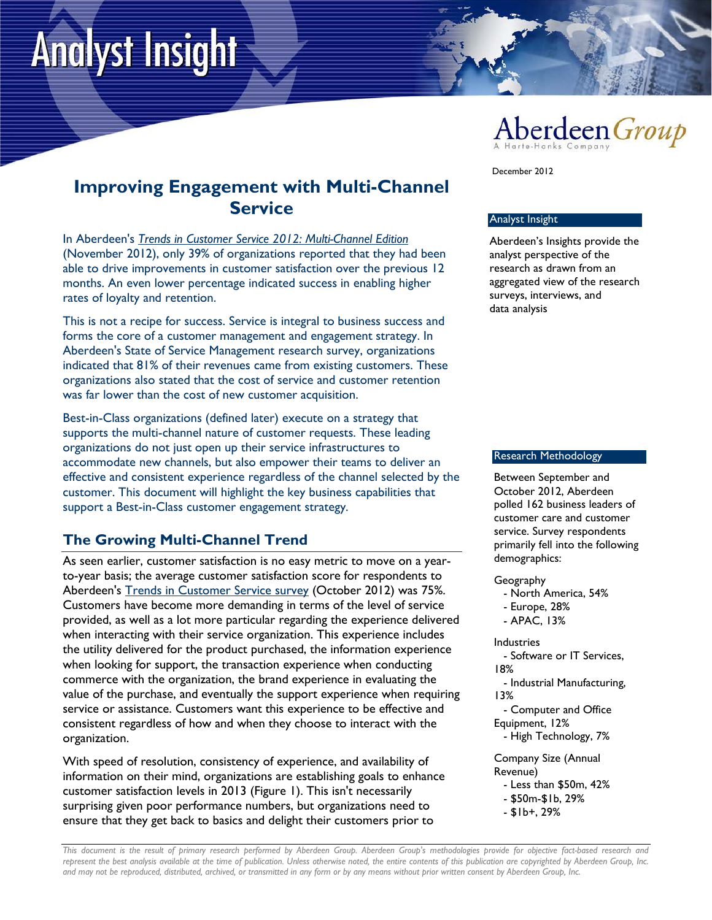# **Analyst Insight**



# **Improving Engagement with Multi-Channel Service**

In Aberdeen's *Trends in Customer Service 2012: Multi-Channel Edition* (November 2012), only 39% of organizations reported that they had been able to drive improvements in customer satisfaction over the previous 12 months. An even lower percentage indicated success in enabling higher rates of loyalty and retention.

This is not a recipe for success. Service is integral to business success and forms the core of a customer management and engagement strategy. In Aberdeen's State of Service Management research survey, organizations indicated that 81% of their revenues came from existing customers. These organizations also stated that the cost of service and customer retention was far lower than the cost of new customer acquisition.

Best-in-Class organizations (defined later) execute on a strategy that supports the multi-channel nature of customer requests. These leading organizations do not just open up their service infrastructures to accommodate new channels, but also empower their teams to deliver an effective and consistent experience regardless of the channel selected by the customer. This document will highlight the key business capabilities that support a Best-in-Class customer engagement strategy.

## **The Growing Multi-Channel Trend**

As seen earlier, customer satisfaction is no easy metric to move on a yearto-year basis; the average customer satisfaction score for respondents to Aberdeen's Trends in Customer Service survey (October 2012) was 75%. Customers have become more demanding in terms of the level of service provided, as well as a lot more particular regarding the experience delivered when interacting with their service organization. This experience includes the utility delivered for the product purchased, the information experience when looking for support, the transaction experience when conducting commerce with the organization, the brand experience in evaluating the value of the purchase, and eventually the support experience when requiring service or assistance. Customers want this experience to be effective and consistent regardless of how and when they choose to interact with the organization.

With speed of resolution, consistency of experience, and availability of information on their mind, organizations are establishing goals to enhance customer satisfaction levels in 2013 (Figure 1). This isn't necessarily surprising given poor performance numbers, but organizations need to ensure that they get back to basics and delight their customers prior to

December 2012

#### Analyst Insight

Aberdeen's Insights provide the analyst perspective of the research as drawn from an aggregated view of the research surveys, interviews, and data analysis

#### Research Methodology

Between September and October 2012, Aberdeen polled 162 business leaders of customer care and customer service. Survey respondents primarily fell into the following demographics:

Geography

- North America, 54%
- Europe, 28%
- APAC, 13%

Industries

 - Software or IT Services, 18%

 - Industrial Manufacturing, 13%

- Computer and Office Equipment, 12%
- High Technology, 7%

Company Size (Annual Revenue)

- Less than \$50m, 42%
- \$50m-\$1b, 29%
- \$1b+, 29%

*This document is the result of primary research performed by Aberdeen Group. Aberdeen Group's methodologies provide for objective fact-based research and represent the best analysis available at the time of publication. Unless otherwise noted, the entire contents of this publication are copyrighted by Aberdeen Group, Inc. and may not be reproduced, distributed, archived, or transmitted in any form or by any means without prior written consent by Aberdeen Group, Inc.*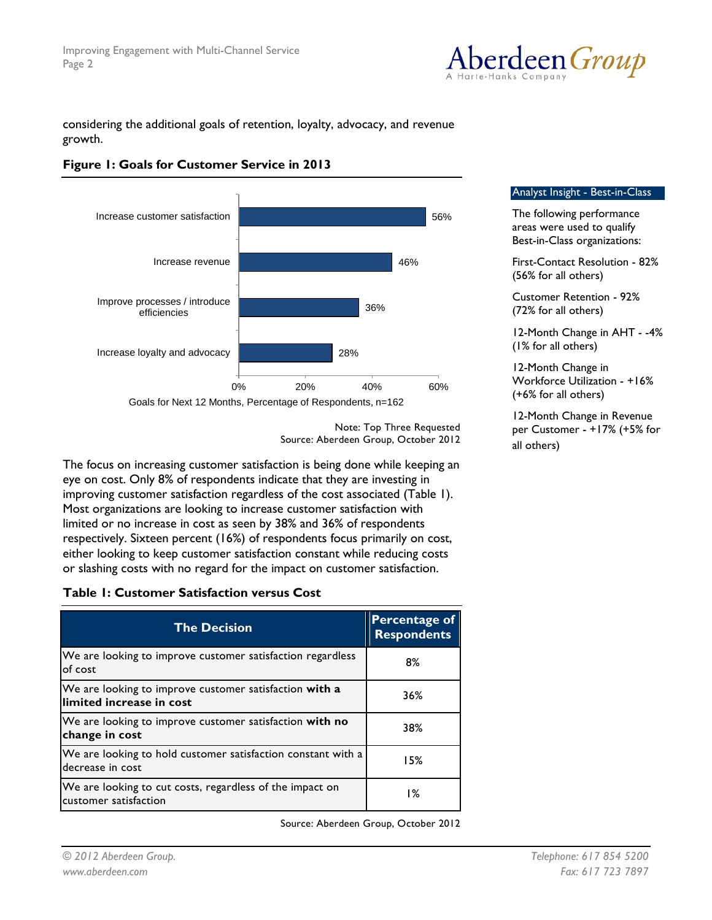

considering the additional goals of retention, loyalty, advocacy, and revenue growth.





Analyst Insight - Best-in-Class

The following performance areas were used to qualify Best-in-Class organizations:

First-Contact Resolution - 82% (56% for all others)

Customer Retention - 92% (72% for all others)

12-Month Change in AHT - -4% (1% for all others)

12-Month Change in Workforce Utilization - +16% (+6% for all others)

12-Month Change in Revenue per Customer - +17% (+5% for all others)

Note: Top Three Requested Source: Aberdeen Group, October 2012

The focus on increasing customer satisfaction is being done while keeping an eye on cost. Only 8% of respondents indicate that they are investing in improving customer satisfaction regardless of the cost associated (Table 1). Most organizations are looking to increase customer satisfaction with limited or no increase in cost as seen by 38% and 36% of respondents respectively. Sixteen percent (16%) of respondents focus primarily on cost, either looking to keep customer satisfaction constant while reducing costs or slashing costs with no regard for the impact on customer satisfaction.

#### **Table 1: Customer Satisfaction versus Cost**

| <b>The Decision</b>                                                                 | <b>Percentage of</b><br><b>Respondents</b> |
|-------------------------------------------------------------------------------------|--------------------------------------------|
| We are looking to improve customer satisfaction regardless<br>of cost               | 8%                                         |
| We are looking to improve customer satisfaction with a<br>llimited increase in cost | 36%                                        |
| We are looking to improve customer satisfaction with no<br>change in cost           | 38%                                        |
| We are looking to hold customer satisfaction constant with a<br>decrease in cost    | 15%                                        |
| We are looking to cut costs, regardless of the impact on<br>customer satisfaction   | 1%                                         |

Source: Aberdeen Group, October 2012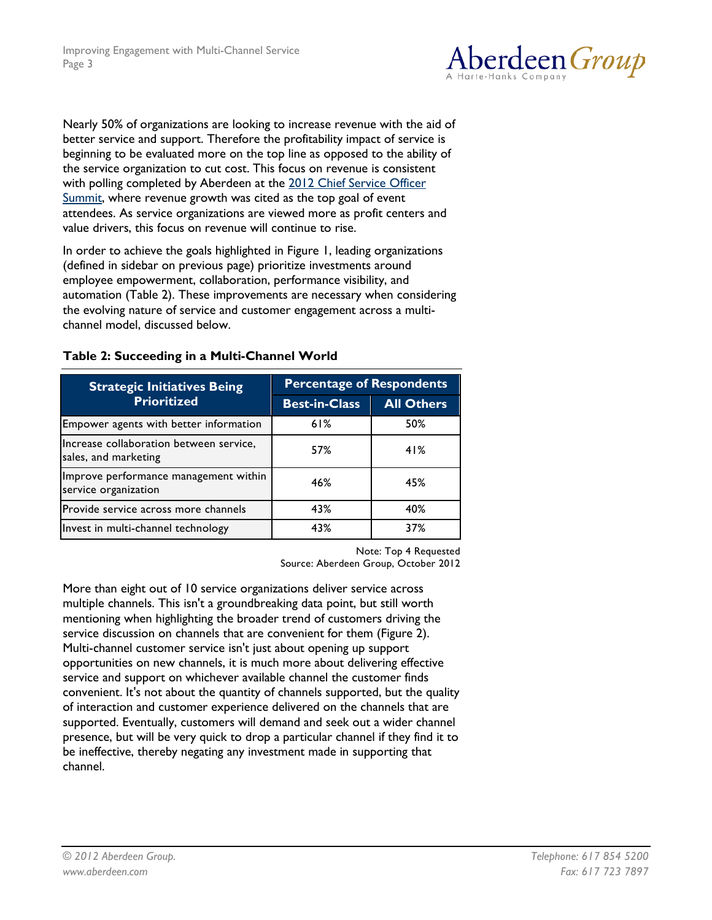

Nearly 50% of organizations are looking to increase revenue with the aid of better service and support. Therefore the profitability impact of service is beginning to be evaluated more on the top line as opposed to the ability of the service organization to cut cost. This focus on revenue is consistent with polling completed by Aberdeen at the 2012 Chief Service Officer Summit, where revenue growth was cited as the top goal of event attendees. As service organizations are viewed more as profit centers and value drivers, this focus on revenue will continue to rise.

In order to achieve the goals highlighted in Figure 1, leading organizations (defined in sidebar on previous page) prioritize investments around employee empowerment, collaboration, performance visibility, and automation (Table 2). These improvements are necessary when considering the evolving nature of service and customer engagement across a multichannel model, discussed below.

| <b>Strategic Initiatives Being</b>                              | <b>Percentage of Respondents</b> |                   |  |
|-----------------------------------------------------------------|----------------------------------|-------------------|--|
| <b>Prioritized</b>                                              | <b>Best-in-Class</b>             | <b>All Others</b> |  |
| Empower agents with better information                          | 61%                              | 50%               |  |
| Increase collaboration between service,<br>sales, and marketing | 57%                              | 41%               |  |
| Improve performance management within<br>service organization   | 46%                              | 45%               |  |
| Provide service across more channels                            | 43%                              | 40%               |  |
| Invest in multi-channel technology                              | 43%                              | 37%               |  |

#### **Table 2: Succeeding in a Multi-Channel World**

Note: Top 4 Requested

Source: Aberdeen Group, October 2012

More than eight out of 10 service organizations deliver service across multiple channels. This isn't a groundbreaking data point, but still worth mentioning when highlighting the broader trend of customers driving the service discussion on channels that are convenient for them (Figure 2). Multi-channel customer service isn't just about opening up support opportunities on new channels, it is much more about delivering effective service and support on whichever available channel the customer finds convenient. It's not about the quantity of channels supported, but the quality of interaction and customer experience delivered on the channels that are supported. Eventually, customers will demand and seek out a wider channel presence, but will be very quick to drop a particular channel if they find it to be ineffective, thereby negating any investment made in supporting that channel.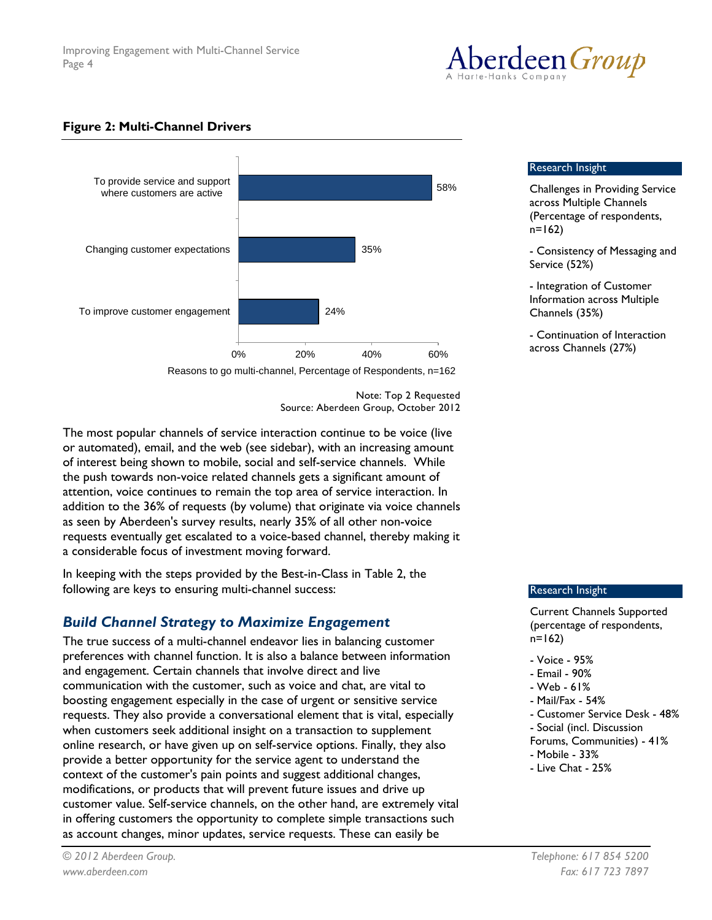

#### **Figure 2: Multi-Channel Drivers**



Reasons to go multi-channel, Percentage of Respondents, n=162

Note: Top 2 Requested Source: Aberdeen Group, October 2012

The most popular channels of service interaction continue to be voice (live or automated), email, and the web (see sidebar), with an increasing amount of interest being shown to mobile, social and self-service channels. While the push towards non-voice related channels gets a significant amount of attention, voice continues to remain the top area of service interaction. In addition to the 36% of requests (by volume) that originate via voice channels as seen by Aberdeen's survey results, nearly 35% of all other non-voice requests eventually get escalated to a voice-based channel, thereby making it a considerable focus of investment moving forward.

In keeping with the steps provided by the Best-in-Class in Table 2, the following are keys to ensuring multi-channel success:

## *Build Channel Strategy to Maximize Engagement*

The true success of a multi-channel endeavor lies in balancing customer preferences with channel function. It is also a balance between information and engagement. Certain channels that involve direct and live communication with the customer, such as voice and chat, are vital to boosting engagement especially in the case of urgent or sensitive service requests. They also provide a conversational element that is vital, especially when customers seek additional insight on a transaction to supplement online research, or have given up on self-service options. Finally, they also provide a better opportunity for the service agent to understand the context of the customer's pain points and suggest additional changes, modifications, or products that will prevent future issues and drive up customer value. Self-service channels, on the other hand, are extremely vital in offering customers the opportunity to complete simple transactions such as account changes, minor updates, service requests. These can easily be

#### Research Insight

Challenges in Providing Service across Multiple Channels (Percentage of respondents,  $n=162$ )

- Consistency of Messaging and Service (52%)

- Integration of Customer Information across Multiple Channels (35%)

- Continuation of Interaction across Channels (27%)

#### Research Insight

Current Channels Supported (percentage of respondents, n=162)

- Voice 95%
- Email 90%
- Web 61%
- Mail/Fax 54%
- Customer Service Desk 48%
- Social (incl. Discussion
- Forums, Communities) 41%
- Mobile 33%
- Live Chat 25%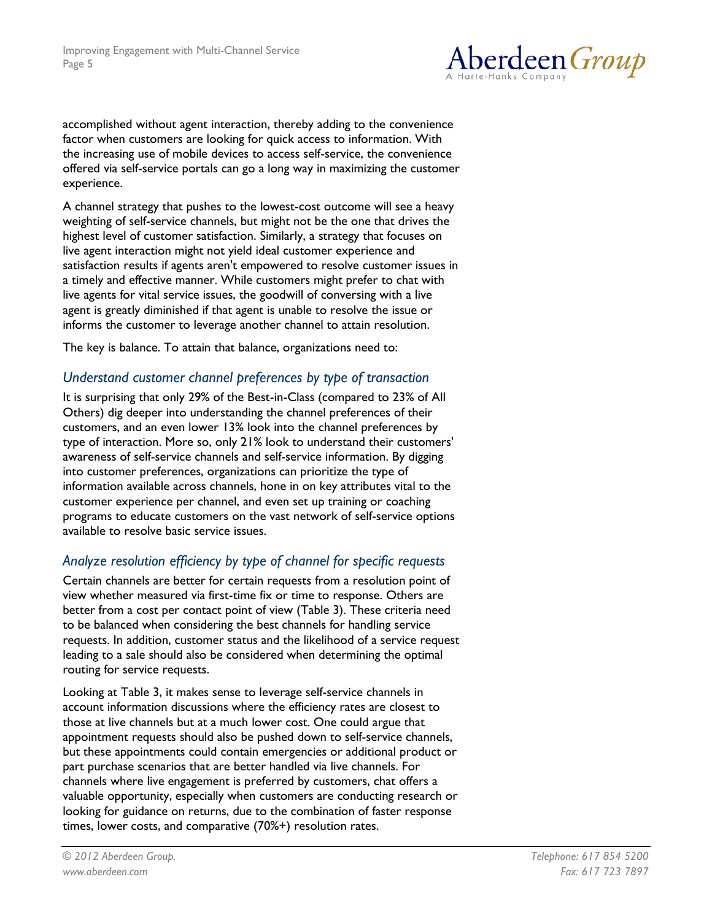

accomplished without agent interaction, thereby adding to the convenience factor when customers are looking for quick access to information. With the increasing use of mobile devices to access self-service, the convenience offered via self-service portals can go a long way in maximizing the customer experience.

A channel strategy that pushes to the lowest-cost outcome will see a heavy weighting of self-service channels, but might not be the one that drives the highest level of customer satisfaction. Similarly, a strategy that focuses on live agent interaction might not yield ideal customer experience and satisfaction results if agents aren't empowered to resolve customer issues in a timely and effective manner. While customers might prefer to chat with live agents for vital service issues, the goodwill of conversing with a live agent is greatly diminished if that agent is unable to resolve the issue or informs the customer to leverage another channel to attain resolution.

The key is balance. To attain that balance, organizations need to:

## *Understand customer channel preferences by type of transaction*

It is surprising that only 29% of the Best-in-Class (compared to 23% of All Others) dig deeper into understanding the channel preferences of their customers, and an even lower 13% look into the channel preferences by type of interaction. More so, only 21% look to understand their customers' awareness of self-service channels and self-service information. By digging into customer preferences, organizations can prioritize the type of information available across channels, hone in on key attributes vital to the customer experience per channel, and even set up training or coaching programs to educate customers on the vast network of self-service options available to resolve basic service issues.

## *Analyze resolution efficiency by type of channel for specific requests*

Certain channels are better for certain requests from a resolution point of view whether measured via first-time fix or time to response. Others are better from a cost per contact point of view (Table 3). These criteria need to be balanced when considering the best channels for handling service requests. In addition, customer status and the likelihood of a service request leading to a sale should also be considered when determining the optimal routing for service requests.

Looking at Table 3, it makes sense to leverage self-service channels in account information discussions where the efficiency rates are closest to those at live channels but at a much lower cost. One could argue that appointment requests should also be pushed down to self-service channels, but these appointments could contain emergencies or additional product or part purchase scenarios that are better handled via live channels. For channels where live engagement is preferred by customers, chat offers a valuable opportunity, especially when customers are conducting research or looking for guidance on returns, due to the combination of faster response times, lower costs, and comparative (70%+) resolution rates.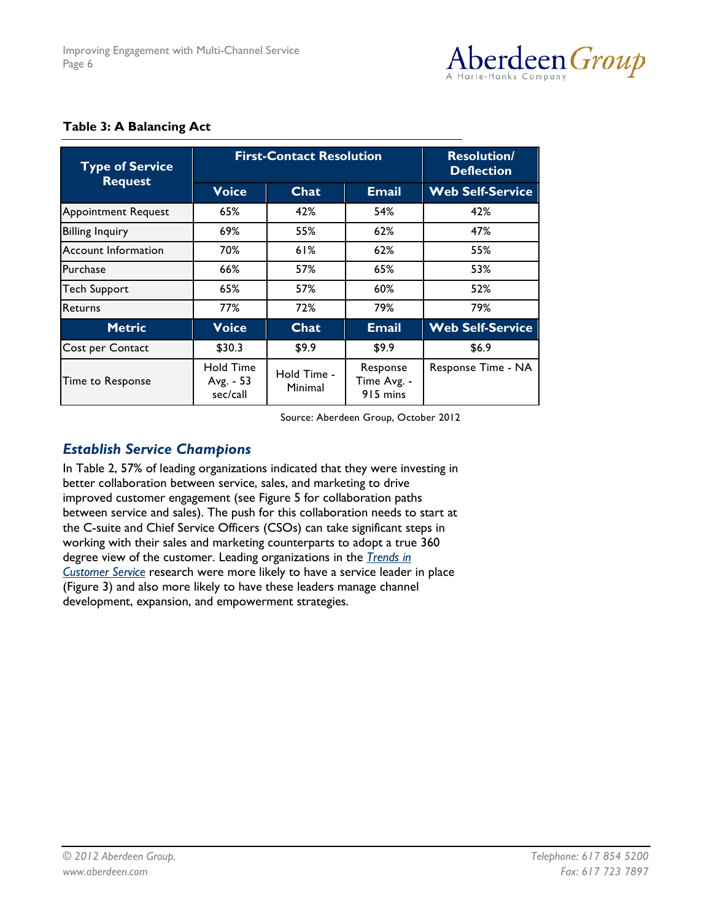

| <b>Type of Service</b><br><b>Request</b> | <b>First-Contact Resolution</b>           |                        |                                     | <b>Resolution/</b><br><b>Deflection</b> |
|------------------------------------------|-------------------------------------------|------------------------|-------------------------------------|-----------------------------------------|
|                                          | <b>Voice</b>                              | Chat                   | <b>Email</b>                        | <b>Web Self-Service</b>                 |
| <b>Appointment Request</b>               | 65%                                       | 42%                    | 54%                                 | 42%                                     |
| <b>Billing Inquiry</b>                   | 69%                                       | 55%                    | 62%                                 | 47%                                     |
| <b>Account Information</b>               | 70%                                       | 61%                    | 62%                                 | 55%                                     |
| Purchase                                 | 66%                                       | 57%                    | 65%                                 | 53%                                     |
| <b>Tech Support</b>                      | 65%                                       | 57%                    | 60%                                 | 52%                                     |
| Returns                                  | 77%                                       | 72%                    | 79%                                 | 79%                                     |
| <b>Metric</b>                            | <b>Voice</b>                              | Chat                   | <b>Email</b>                        | <b>Web Self-Service</b>                 |
| Cost per Contact                         | \$30.3                                    | \$9.9                  | \$9.9                               | \$6.9                                   |
| Time to Response                         | <b>Hold Time</b><br>Avg. - 53<br>sec/call | Hold Time -<br>Minimal | Response<br>Time Avg. -<br>915 mins | Response Time - NA                      |

#### **Table 3: A Balancing Act**

Source: Aberdeen Group, October 2012

## *Establish Service Champions*

In Table 2, 57% of leading organizations indicated that they were investing in better collaboration between service, sales, and marketing to drive improved customer engagement (see Figure 5 for collaboration paths between service and sales). The push for this collaboration needs to start at the C-suite and Chief Service Officers (CSOs) can take significant steps in working with their sales and marketing counterparts to adopt a true 360 degree view of the customer. Leading organizations in the *Trends in Customer Service* research were more likely to have a service leader in place (Figure 3) and also more likely to have these leaders manage channel development, expansion, and empowerment strategies.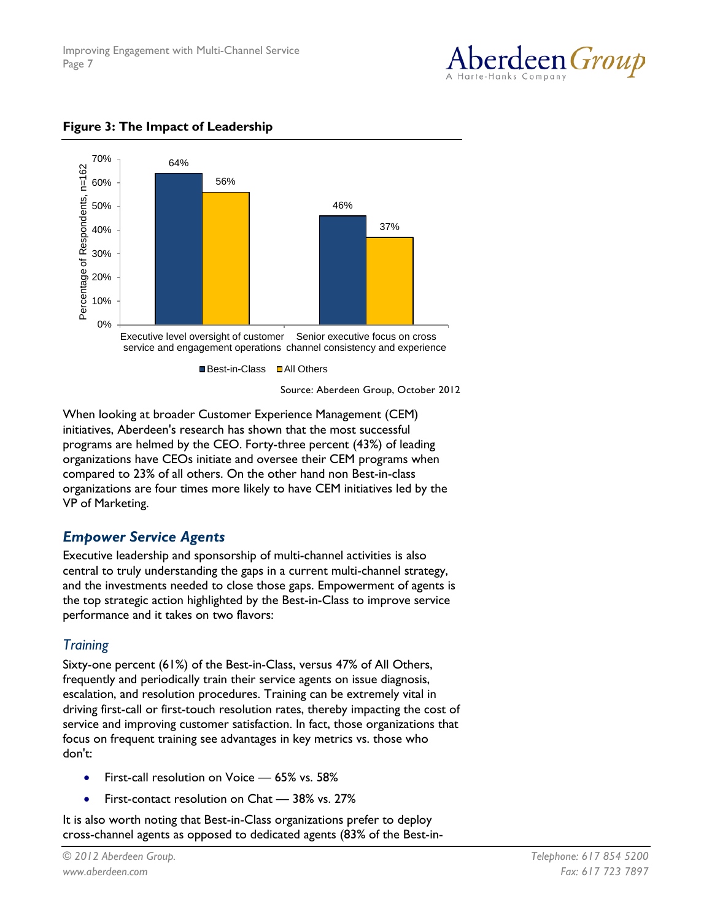



**Figure 3: The Impact of Leadership**

Source: Aberdeen Group, October 2012

When looking at broader Customer Experience Management (CEM) initiatives, Aberdeen's research has shown that the most successful programs are helmed by the CEO. Forty-three percent (43%) of leading organizations have CEOs initiate and oversee their CEM programs when compared to 23% of all others. On the other hand non Best-in-class organizations are four times more likely to have CEM initiatives led by the VP of Marketing.

## *Empower Service Agents*

Executive leadership and sponsorship of multi-channel activities is also central to truly understanding the gaps in a current multi-channel strategy, and the investments needed to close those gaps. Empowerment of agents is the top strategic action highlighted by the Best-in-Class to improve service performance and it takes on two flavors:

## *Training*

Sixty-one percent (61%) of the Best-in-Class, versus 47% of All Others, frequently and periodically train their service agents on issue diagnosis, escalation, and resolution procedures. Training can be extremely vital in driving first-call or first-touch resolution rates, thereby impacting the cost of service and improving customer satisfaction. In fact, those organizations that focus on frequent training see advantages in key metrics vs. those who don't:

- First-call resolution on Voice 65% vs. 58%
- First-contact resolution on Chat 38% vs. 27%

It is also worth noting that Best-in-Class organizations prefer to deploy cross-channel agents as opposed to dedicated agents (83% of the Best-in-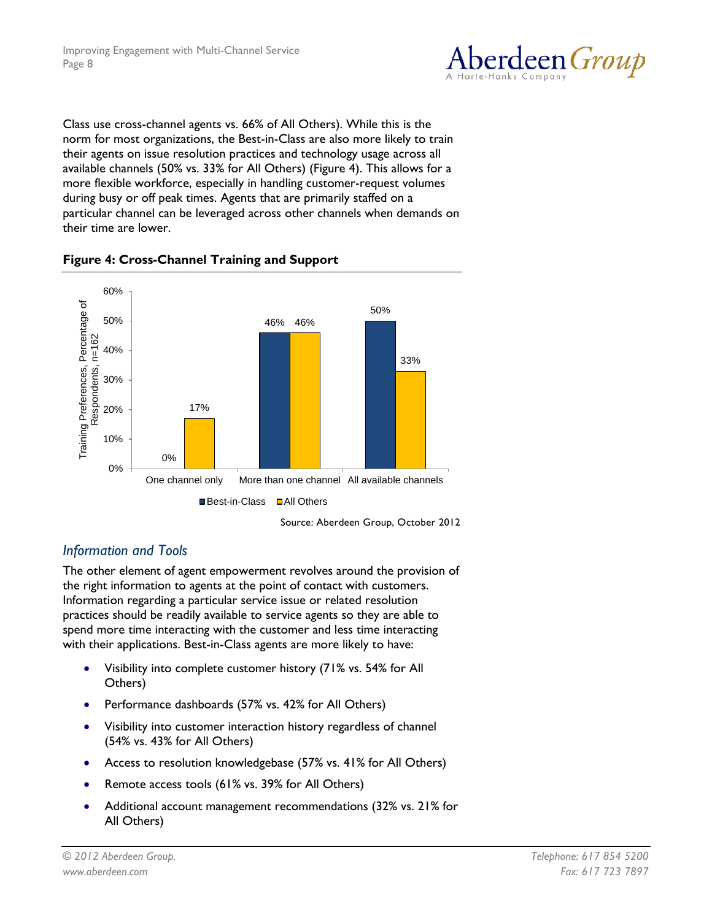

Class use cross-channel agents vs. 66% of All Others). While this is the norm for most organizations, the Best-in-Class are also more likely to train their agents on issue resolution practices and technology usage across all available channels (50% vs. 33% for All Others) (Figure 4). This allows for a more flexible workforce, especially in handling customer-request volumes during busy or off peak times. Agents that are primarily staffed on a particular channel can be leveraged across other channels when demands on their time are lower.



#### **Figure 4: Cross-Channel Training and Support**

Source: Aberdeen Group, October 2012

## *Information and Tools*

The other element of agent empowerment revolves around the provision of the right information to agents at the point of contact with customers. Information regarding a particular service issue or related resolution practices should be readily available to service agents so they are able to spend more time interacting with the customer and less time interacting with their applications. Best-in-Class agents are more likely to have:

- Visibility into complete customer history (71% vs. 54% for All Others)
- Performance dashboards (57% vs. 42% for All Others)
- Visibility into customer interaction history regardless of channel (54% vs. 43% for All Others)
- Access to resolution knowledgebase (57% vs. 41% for All Others)
- Remote access tools (61% vs. 39% for All Others)
- Additional account management recommendations (32% vs. 21% for All Others)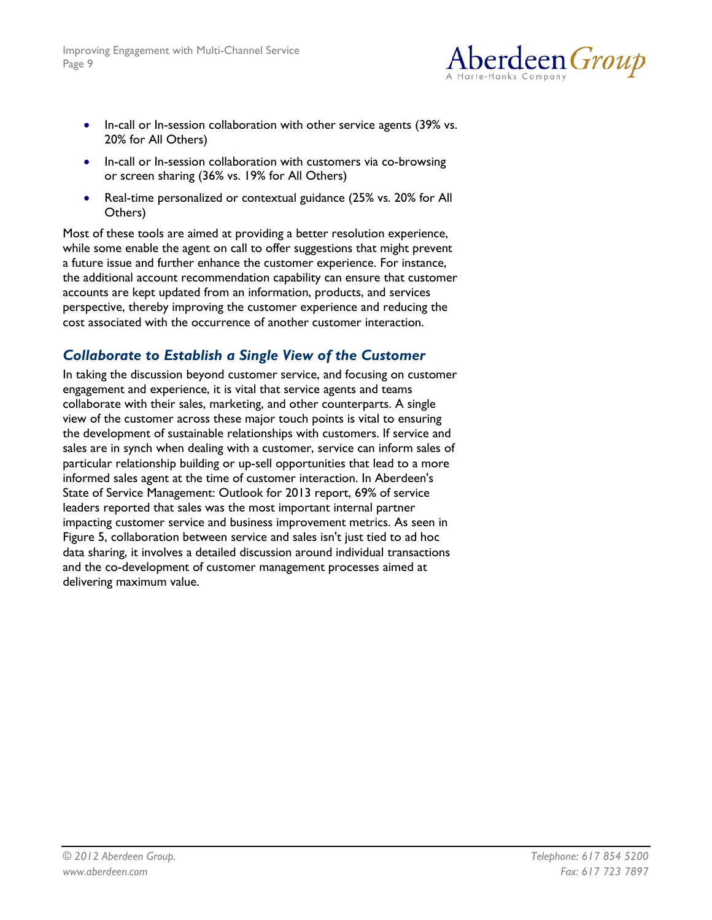

- In-call or In-session collaboration with other service agents (39% vs. 20% for All Others)
- In-call or In-session collaboration with customers via co-browsing or screen sharing (36% vs. 19% for All Others)
- Real-time personalized or contextual guidance (25% vs. 20% for All Others)

Most of these tools are aimed at providing a better resolution experience, while some enable the agent on call to offer suggestions that might prevent a future issue and further enhance the customer experience. For instance, the additional account recommendation capability can ensure that customer accounts are kept updated from an information, products, and services perspective, thereby improving the customer experience and reducing the cost associated with the occurrence of another customer interaction.

## *Collaborate to Establish a Single View of the Customer*

In taking the discussion beyond customer service, and focusing on customer engagement and experience, it is vital that service agents and teams collaborate with their sales, marketing, and other counterparts. A single view of the customer across these major touch points is vital to ensuring the development of sustainable relationships with customers. If service and sales are in synch when dealing with a customer, service can inform sales of particular relationship building or up-sell opportunities that lead to a more informed sales agent at the time of customer interaction. In Aberdeen's State of Service Management: Outlook for 2013 report, 69% of service leaders reported that sales was the most important internal partner impacting customer service and business improvement metrics. As seen in Figure 5, collaboration between service and sales isn't just tied to ad hoc data sharing, it involves a detailed discussion around individual transactions and the co-development of customer management processes aimed at delivering maximum value.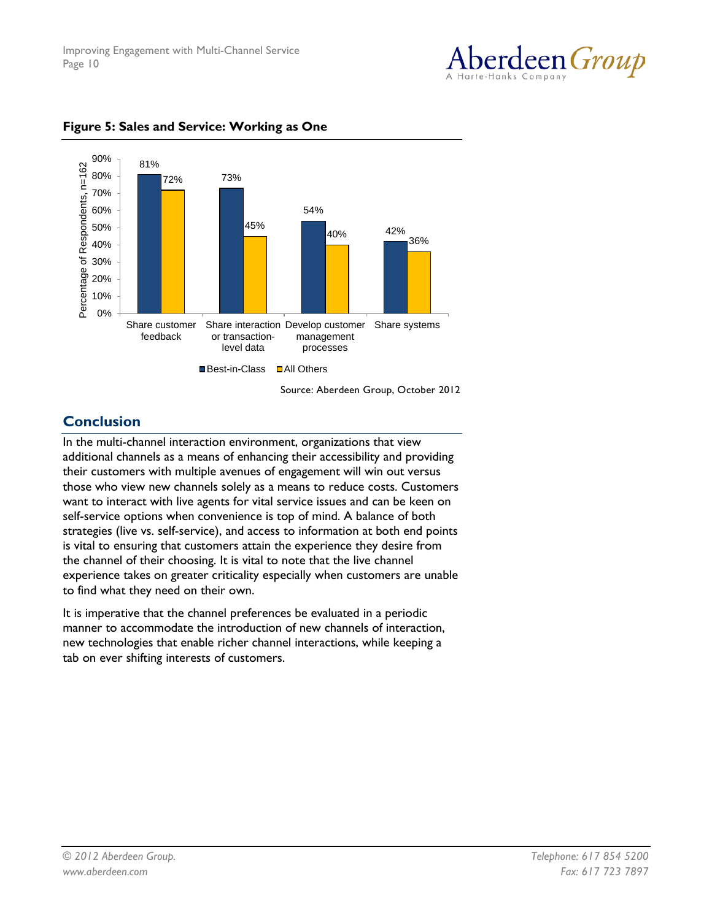



#### **Figure 5: Sales and Service: Working as One**

Source: Aberdeen Group, October 2012

## **Conclusion**

In the multi-channel interaction environment, organizations that view additional channels as a means of enhancing their accessibility and providing their customers with multiple avenues of engagement will win out versus those who view new channels solely as a means to reduce costs. Customers want to interact with live agents for vital service issues and can be keen on self-service options when convenience is top of mind. A balance of both strategies (live vs. self-service), and access to information at both end points is vital to ensuring that customers attain the experience they desire from the channel of their choosing. It is vital to note that the live channel experience takes on greater criticality especially when customers are unable to find what they need on their own.

It is imperative that the channel preferences be evaluated in a periodic manner to accommodate the introduction of new channels of interaction, new technologies that enable richer channel interactions, while keeping a tab on ever shifting interests of customers.